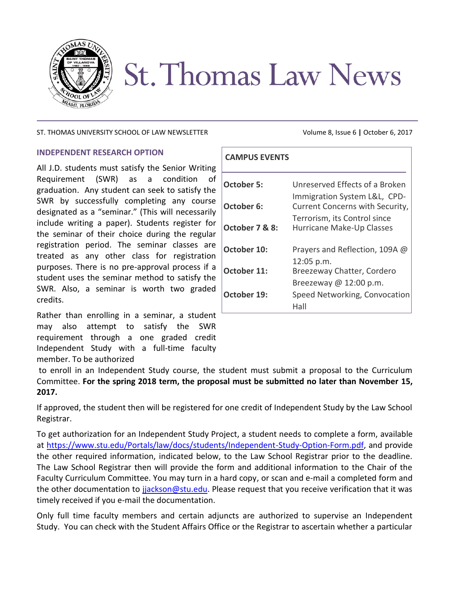

# **St. Thomas Law News**

### ST. THOMAS UNIVERSITY SCHOOL OF LAW NEWSLETTER Volume 8, Issue 6 | October 6, 2017

## **INDEPENDENT RESEARCH OPTION**

All J.D. students must satisfy the Senior Writing Requirement (SWR) as a condition of graduation. Any student can seek to satisfy the SWR by successfully completing any course designated as a "seminar." (This will necessarily include writing a paper). Students register for the seminar of their choice during the regular registration period. The seminar classes are treated as any other class for registration purposes. There is no pre-approval process if a student uses the seminar method to satisfy the SWR. Also, a seminar is worth two graded credits.

Rather than enrolling in a seminar, a student may also attempt to satisfy the SWR requirement through a one graded credit Independent Study with a full-time faculty member. To be authorized

# **CAMPUS EVENTS**

| <b>October 5:</b> | Unreserved Effects of a Broken                                  |
|-------------------|-----------------------------------------------------------------|
| October 6:        | Immigration System L&L, CPD-<br>Current Concerns with Security, |
| October 7 & 8:    | Terrorism, its Control since<br>Hurricane Make-Up Classes       |
| October 10:       | Prayers and Reflection, 109A @                                  |
| October 11:       | 12:05 p.m.<br>Breezeway Chatter, Cordero                        |
|                   | Breezeway @ $12:00$ p.m.                                        |
| October 19:       | Speed Networking, Convocation<br>Hall                           |
|                   |                                                                 |

to enroll in an Independent Study course, the student must submit a proposal to the Curriculum Committee. **For the spring 2018 term, the proposal must be submitted no later than November 15, 2017.**

If approved, the student then will be registered for one credit of Independent Study by the Law School Registrar.

To get authorization for an Independent Study Project, a student needs to complete a form, available at [https://www.stu.edu/Portals/law/docs/students/Independent-Study-Option-Form.pdf,](https://www.stu.edu/Portals/law/docs/students/Independent-Study-Option-Form.pdf) and provide the other required information, indicated below, to the Law School Registrar prior to the deadline. The Law School Registrar then will provide the form and additional information to the Chair of the Faculty Curriculum Committee. You may turn in a hard copy, or scan and e-mail a completed form and the other documentation to [jjackson@stu.edu.](mailto:jjackson@stu.edu) Please request that you receive verification that it was timely received if you e-mail the documentation.

Only full time faculty members and certain adjuncts are authorized to supervise an Independent Study. You can check with the Student Affairs Office or the Registrar to ascertain whether a particular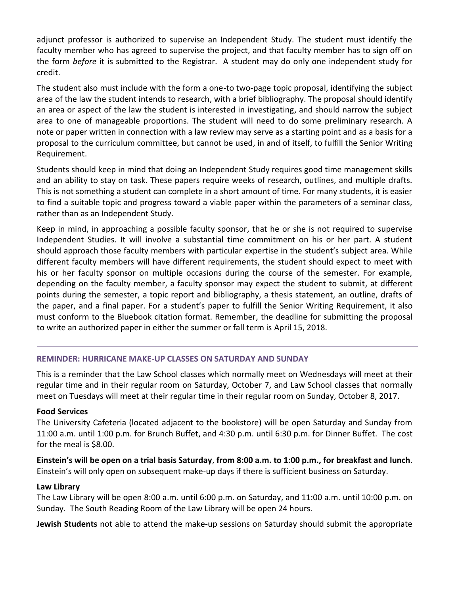adjunct professor is authorized to supervise an Independent Study. The student must identify the faculty member who has agreed to supervise the project, and that faculty member has to sign off on the form *before* it is submitted to the Registrar. A student may do only one independent study for credit.

The student also must include with the form a one-to two-page topic proposal, identifying the subject area of the law the student intends to research, with a brief bibliography. The proposal should identify an area or aspect of the law the student is interested in investigating, and should narrow the subject area to one of manageable proportions. The student will need to do some preliminary research. A note or paper written in connection with a law review may serve as a starting point and as a basis for a proposal to the curriculum committee, but cannot be used, in and of itself, to fulfill the Senior Writing Requirement.

Students should keep in mind that doing an Independent Study requires good time management skills and an ability to stay on task. These papers require weeks of research, outlines, and multiple drafts. This is not something a student can complete in a short amount of time. For many students, it is easier to find a suitable topic and progress toward a viable paper within the parameters of a seminar class, rather than as an Independent Study.

Keep in mind, in approaching a possible faculty sponsor, that he or she is not required to supervise Independent Studies. It will involve a substantial time commitment on his or her part. A student should approach those faculty members with particular expertise in the student's subject area. While different faculty members will have different requirements, the student should expect to meet with his or her faculty sponsor on multiple occasions during the course of the semester. For example, depending on the faculty member, a faculty sponsor may expect the student to submit, at different points during the semester, a topic report and bibliography, a thesis statement, an outline, drafts of the paper, and a final paper. For a student's paper to fulfill the Senior Writing Requirement, it also must conform to the Bluebook citation format. Remember, the deadline for submitting the proposal to write an authorized paper in either the summer or fall term is April 15, 2018.

# **REMINDER: HURRICANE MAKE-UP CLASSES ON SATURDAY AND SUNDAY**

This is a reminder that the Law School classes which normally meet on Wednesdays will meet at their regular time and in their regular room on Saturday, October 7, and Law School classes that normally meet on Tuesdays will meet at their regular time in their regular room on Sunday, October 8, 2017.

# **Food Services**

The University Cafeteria (located adjacent to the bookstore) will be open Saturday and Sunday from 11:00 a.m. until 1:00 p.m. for Brunch Buffet, and 4:30 p.m. until 6:30 p.m. for Dinner Buffet. The cost for the meal is \$8.00.

# **Einstein's will be open on a trial basis Saturday**, **from 8:00 a.m. to 1:00 p.m., for breakfast and lunch**. Einstein's will only open on subsequent make-up days if there is sufficient business on Saturday.

#### **Law Library**

The Law Library will be open 8:00 a.m. until 6:00 p.m. on Saturday, and 11:00 a.m. until 10:00 p.m. on Sunday. The South Reading Room of the Law Library will be open 24 hours.

**Jewish Students** not able to attend the make-up sessions on Saturday should submit the appropriate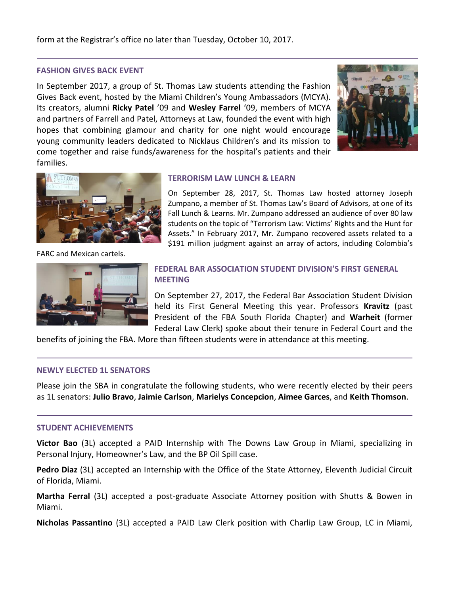form at the Registrar's office no later than Tuesday, October 10, 2017.

#### **FASHION GIVES BACK EVENT**

In September 2017, a group of St. Thomas Law students attending the Fashion Gives Back event, hosted by the Miami Children's Young Ambassadors (MCYA). Its creators, alumni **Ricky Patel** '09 and **Wesley Farrel** '09, members of MCYA and partners of Farrell and Patel, Attorneys at Law, founded the event with high hopes that combining glamour and charity for one night would encourage young community leaders dedicated to Nicklaus Children's and its mission to come together and raise funds/awareness for the hospital's patients and their families.





FARC and Mexican cartels.



#### **TERRORISM LAW LUNCH & LEARN**

On September 28, 2017, St. Thomas Law hosted attorney Joseph Zumpano, a member of St. Thomas Law's Board of Advisors, at one of its Fall Lunch & Learns. Mr. Zumpano addressed an audience of over 80 law students on the topic of "Terrorism Law: Victims' Rights and the Hunt for Assets." In February 2017, Mr. Zumpano recovered assets related to a \$191 million judgment against an array of actors, including Colombia's

# **FEDERAL BAR ASSOCIATION STUDENT DIVISION'S FIRST GENERAL MEETING**

On September 27, 2017, the Federal Bar Association Student Division held its First General Meeting this year. Professors **Kravitz** (past President of the FBA South Florida Chapter) and **Warheit** (former Federal Law Clerk) spoke about their tenure in Federal Court and the

benefits of joining the FBA. More than fifteen students were in attendance at this meeting.

#### **NEWLY ELECTED 1L SENATORS**

Please join the SBA in congratulate the following students, who were recently elected by their peers as 1L senators: **Julio Bravo**, **Jaimie Carlson**, **Marielys Concepcion**, **Aimee Garces**, and **Keith Thomson**.

#### **STUDENT ACHIEVEMENTS**

**Victor Bao** (3L) accepted a PAID Internship with The Downs Law Group in Miami, specializing in Personal Injury, Homeowner's Law, and the BP Oil Spill case.

**Pedro Diaz** (3L) accepted an Internship with the Office of the State Attorney, Eleventh Judicial Circuit of Florida, Miami.

**Martha Ferral** (3L) accepted a post-graduate Associate Attorney position with Shutts & Bowen in Miami.

**Nicholas Passantino** (3L) accepted a PAID Law Clerk position with Charlip Law Group, LC in Miami,